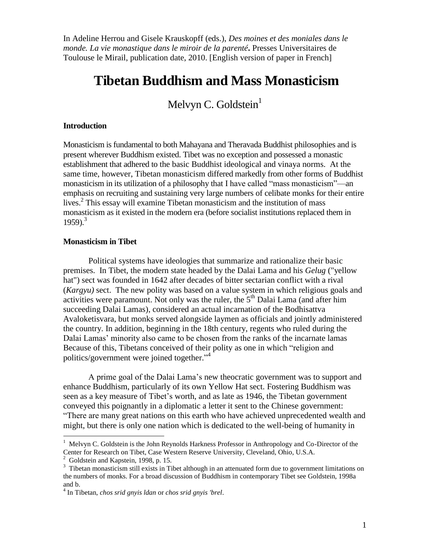# **Tibetan Buddhism and Mass Monasticism**

Melvyn C. Goldstein $<sup>1</sup>$ </sup>

### **Introduction**

Monasticism is fundamental to both Mahayana and Theravada Buddhist philosophies and is present wherever Buddhism existed. Tibet was no exception and possessed a monastic establishment that adhered to the basic Buddhist ideological and vinaya norms. At the same time, however, Tibetan monasticism differed markedly from other forms of Buddhist monasticism in its utilization of a philosophy that I have called "mass monasticism"—an emphasis on recruiting and sustaining very large numbers of celibate monks for their entire lives. 2 This essay will examine Tibetan monasticism and the institution of mass monasticism as it existed in the modern era (before socialist institutions replaced them in 1959). 3

### **Monasticism in Tibet**

Political systems have ideologies that summarize and rationalize their basic premises. In Tibet, the modern state headed by the Dalai Lama and his *Gelug* ("yellow hat") sect was founded in 1642 after decades of bitter sectarian conflict with a rival (*Kargyu)* sect. The new polity was based on a value system in which religious goals and activities were paramount. Not only was the ruler, the  $5<sup>th</sup>$  Dalai Lama (and after him succeeding Dalai Lamas), considered an actual incarnation of the Bodhisattva Avaloketisvara, but monks served alongside laymen as officials and jointly administered the country. In addition, beginning in the 18th century, regents who ruled during the Dalai Lamas' minority also came to be chosen from the ranks of the incarnate lamas Because of this, Tibetans conceived of their polity as one in which "religion and politics/government were joined together." 4

A prime goal of the Dalai Lama's new theocratic government was to support and enhance Buddhism, particularly of its own Yellow Hat sect. Fostering Buddhism was seen as a key measure of Tibet's worth, and as late as 1946, the Tibetan government conveyed this poignantly in a diplomatic a letter it sent to the Chinese government: "There are many great nations on this earth who have achieved unprecedented wealth and might, but there is only one nation which is dedicated to the well-being of humanity in

<sup>&</sup>lt;sup>1</sup> Melvyn C. Goldstein is the John Reynolds Harkness Professor in Anthropology and Co-Director of the Center for Research on Tibet, Case Western Reserve University, Cleveland, Ohio, U.S.A.

<sup>&</sup>lt;sup>2</sup> Goldstein and Kapstein, 1998, p. 15.

<sup>&</sup>lt;sup>3</sup> Tibetan monasticism still exists in Tibet although in an attenuated form due to government limitations on the numbers of monks. For a broad discussion of Buddhism in contemporary Tibet see Goldstein, 1998a and b.

<sup>4</sup> In Tibetan, *chos srid gnyis ldan* or *chos srid gnyis 'brel*.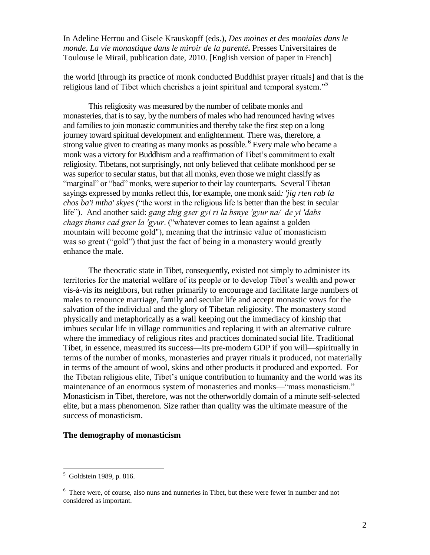the world [through its practice of monk conducted Buddhist prayer rituals] and that is the religious land of Tibet which cherishes a joint spiritual and temporal system."<sup>5</sup>

This religiosity was measured by the number of celibate monks and monasteries, that is to say, by the numbers of males who had renounced having wives and families to join monastic communities and thereby take the first step on a long journey toward spiritual development and enlightenment. There was, therefore, a strong value given to creating as many monks as possible. <sup>6</sup> Every male who became a monk was a victory for Buddhism and a reaffirmation of Tibet's commitment to exalt religiosity. Tibetans, not surprisingly, not only believed that celibate monkhood per se was superior to secular status, but that all monks, even those we might classify as "marginal" or "bad" monks, were superior to their lay counterparts. Several Tibetan sayings expressed by monks reflect this, for example, one monk said*: 'jig rten rab la chos ba'i mtha' skyes* ("the worst in the religious life is better than the best in secular life"). And another said: *gang zhig gser gyi ri la bsnye 'gyur na/ de yi 'dabs chags thams cad gser la 'gyur*. ("whatever comes to lean against a golden mountain will become gold"), meaning that the intrinsic value of monasticism was so great ("gold") that just the fact of being in a monastery would greatly enhance the male.

The theocratic state in Tibet, consequently, existed not simply to administer its territories for the material welfare of its people or to develop Tibet's wealth and power vis-à-vis its neighbors, but rather primarily to encourage and facilitate large numbers of males to renounce marriage, family and secular life and accept monastic vows for the salvation of the individual and the glory of Tibetan religiosity. The monastery stood physically and metaphorically as a wall keeping out the immediacy of kinship that imbues secular life in village communities and replacing it with an alternative culture where the immediacy of religious rites and practices dominated social life. Traditional Tibet, in essence, measured its success—its pre-modern GDP if you will—spiritually in terms of the number of monks, monasteries and prayer rituals it produced, not materially in terms of the amount of wool, skins and other products it produced and exported. For the Tibetan religious elite, Tibet's unique contribution to humanity and the world was its maintenance of an enormous system of monasteries and monks—"mass monasticism." Monasticism in Tibet, therefore, was not the otherworldly domain of a minute self-selected elite, but a mass phenomenon. Size rather than quality was the ultimate measure of the success of monasticism.

### **The demography of monasticism**

 5 Goldstein 1989, p. 816.

<sup>&</sup>lt;sup>6</sup> There were, of course, also nuns and nunneries in Tibet, but these were fewer in number and not considered as important.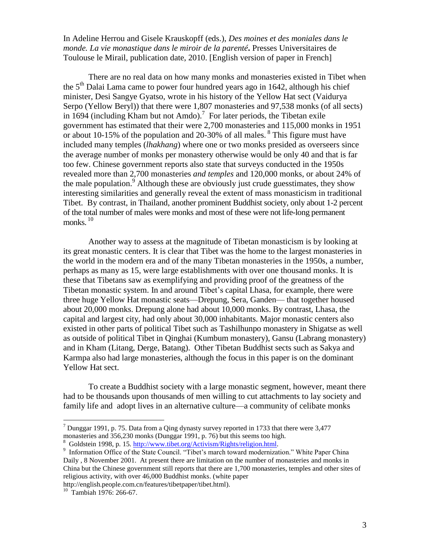There are no real data on how many monks and monasteries existed in Tibet when the  $5<sup>th</sup>$  Dalai Lama came to power four hundred years ago in 1642, although his chief minister, Desi Sangye Gyatso, wrote in his history of the Yellow Hat sect (Vaidurya Serpo (Yellow Beryl)) that there were 1,807 monasteries and 97,538 monks (of all sects) in 1694 (including Kham but not Amdo).<sup>7</sup> For later periods, the Tibetan exile government has estimated that their were 2,700 monasteries and 115,000 monks in 1951 or about 10-15% of the population and 20-30% of all males. <sup>8</sup> This figure must have included many temples (*lhakhang*) where one or two monks presided as overseers since the average number of monks per monastery otherwise would be only 40 and that is far too few. Chinese government reports also state that surveys conducted in the 1950s revealed more than 2,700 monasteries *and temples* and 120,000 monks, or about 24% of the male population.<sup>9</sup> Although these are obviously just crude guesstimates, they show interesting similarities and generally reveal the extent of mass monasticism in traditional Tibet. By contrast, in Thailand, another prominent Buddhist society, only about 1-2 percent of the total number of males were monks and most of these were not life-long permanent monks. 10

Another way to assess at the magnitude of Tibetan monasticism is by looking at its great monastic centers. It is clear that Tibet was the home to the largest monasteries in the world in the modern era and of the many Tibetan monasteries in the 1950s, a number, perhaps as many as 15, were large establishments with over one thousand monks. It is these that Tibetans saw as exemplifying and providing proof of the greatness of the Tibetan monastic system. In and around Tibet's capital Lhasa, for example, there were three huge Yellow Hat monastic seats—Drepung, Sera, Ganden— that together housed about 20,000 monks. Drepung alone had about 10,000 monks. By contrast, Lhasa, the capital and largest city, had only about 30,000 inhabitants. Major monastic centers also existed in other parts of political Tibet such as Tashilhunpo monastery in Shigatse as well as outside of political Tibet in Qinghai (Kumbum monastery), Gansu (Labrang monastery) and in Kham (Litang, Derge, Batang). Other Tibetan Buddhist sects such as Sakya and Karmpa also had large monasteries, although the focus in this paper is on the dominant Yellow Hat sect.

To create a Buddhist society with a large monastic segment, however, meant there had to be thousands upon thousands of men willing to cut attachments to lay society and family life and adopt lives in an alternative culture—a community of celibate monks

<sup>&</sup>lt;sup>7</sup> Dunggar 1991, p. 75. Data from a Qing dynasty survey reported in 1733 that there were 3,477 monasteries and 356,230 monks (Dunggar 1991, p. 76) but this seems too high.

<sup>&</sup>lt;sup>8</sup> Goldstein 1998, p. 15. http://www.tibet.org/Activism/Rights/religion.html.

<sup>&</sup>lt;sup>9</sup> Information Office of the State Council. "Tibet's march toward modernization." White Paper China Daily , 8 November 2001. At present there are limitation on the number of monasteries and monks in China but the Chinese government still reports that there are 1,700 monasteries, temples and other sites of religious activity, with over 46,000 Buddhist monks. (white paper

http://english.people.com.cn/features/tibetpaper/tibet.html).

<sup>&</sup>lt;sup>10</sup> Tambiah 1976: 266-67.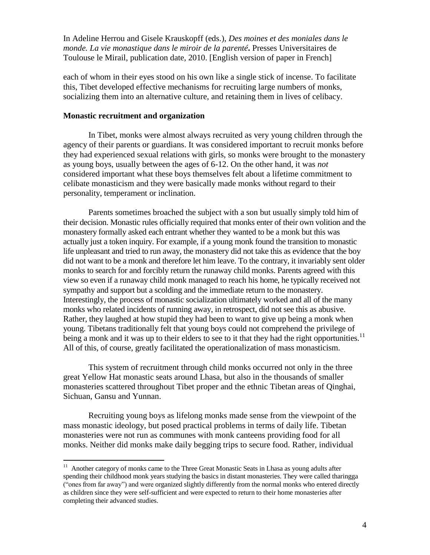each of whom in their eyes stood on his own like a single stick of incense. To facilitate this, Tibet developed effective mechanisms for recruiting large numbers of monks, socializing them into an alternative culture, and retaining them in lives of celibacy.

## **Monastic recruitment and organization**

In Tibet, monks were almost always recruited as very young children through the agency of their parents or guardians. It was considered important to recruit monks before they had experienced sexual relations with girls, so monks were brought to the monastery as young boys, usually between the ages of 6-12. On the other hand, it was *not* considered important what these boys themselves felt about a lifetime commitment to celibate monasticism and they were basically made monks without regard to their personality, temperament or inclination.

Parents sometimes broached the subject with a son but usually simply told him of their decision. Monastic rules officially required that monks enter of their own volition and the monastery formally asked each entrant whether they wanted to be a monk but this was actually just a token inquiry. For example, if a young monk found the transition to monastic life unpleasant and tried to run away, the monastery did not take this as evidence that the boy did not want to be a monk and therefore let him leave. To the contrary, it invariably sent older monks to search for and forcibly return the runaway child monks. Parents agreed with this view so even if a runaway child monk managed to reach his home, he typically received not sympathy and support but a scolding and the immediate return to the monastery. Interestingly, the process of monastic socialization ultimately worked and all of the many monks who related incidents of running away, in retrospect, did not see this as abusive. Rather, they laughed at how stupid they had been to want to give up being a monk when young. Tibetans traditionally felt that young boys could not comprehend the privilege of being a monk and it was up to their elders to see to it that they had the right opportunities.<sup>11</sup> All of this, of course, greatly facilitated the operationalization of mass monasticism.

This system of recruitment through child monks occurred not only in the three great Yellow Hat monastic seats around Lhasa, but also in the thousands of smaller monasteries scattered throughout Tibet proper and the ethnic Tibetan areas of Qinghai, Sichuan, Gansu and Yunnan.

Recruiting young boys as lifelong monks made sense from the viewpoint of the mass monastic ideology, but posed practical problems in terms of daily life. Tibetan monasteries were not run as communes with monk canteens providing food for all monks. Neither did monks make daily begging trips to secure food. Rather, individual

<sup>&</sup>lt;sup>11</sup> Another category of monks came to the Three Great Monastic Seats in Lhasa as young adults after spending their childhood monk years studying the basics in distant monasteries. They were called tharingga ("ones from far away") and were organized slightly differently from the normal monks who entered directly as children since they were self-sufficient and were expected to return to their home monasteries after completing their advanced studies.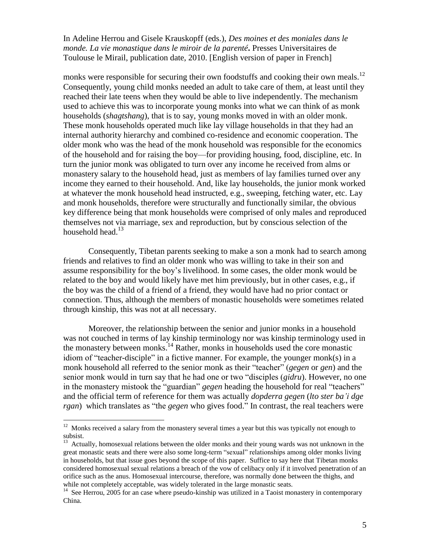monks were responsible for securing their own foodstuffs and cooking their own meals.<sup>12</sup> Consequently, young child monks needed an adult to take care of them, at least until they reached their late teens when they would be able to live independently. The mechanism used to achieve this was to incorporate young monks into what we can think of as monk households (*shagtshang*), that is to say, young monks moved in with an older monk. These monk households operated much like lay village households in that they had an internal authority hierarchy and combined co-residence and economic cooperation. The older monk who was the head of the monk household was responsible for the economics of the household and for raising the boy—for providing housing, food, discipline, etc. In turn the junior monk was obligated to turn over any income he received from alms or monastery salary to the household head, just as members of lay families turned over any income they earned to their household. And, like lay households, the junior monk worked at whatever the monk household head instructed, e.g., sweeping, fetching water, etc. Lay and monk households, therefore were structurally and functionally similar, the obvious key difference being that monk households were comprised of only males and reproduced themselves not via marriage, sex and reproduction, but by conscious selection of the household head.<sup>13</sup>

Consequently, Tibetan parents seeking to make a son a monk had to search among friends and relatives to find an older monk who was willing to take in their son and assume responsibility for the boy's livelihood. In some cases, the older monk would be related to the boy and would likely have met him previously, but in other cases, e.g., if the boy was the child of a friend of a friend, they would have had no prior contact or connection. Thus, although the members of monastic households were sometimes related through kinship, this was not at all necessary.

Moreover, the relationship between the senior and junior monks in a household was not couched in terms of lay kinship terminology nor was kinship terminology used in the monastery between monks.<sup>14</sup> Rather, monks in households used the core monastic idiom of "teacher-disciple" in a fictive manner. For example, the younger monk(s) in a monk household all referred to the senior monk as their "teacher" (*gegen* or *gen*) and the senior monk would in turn say that he had one or two "disciples (*gidru*). However, no one in the monastery mistook the "guardian" *gegen* heading the household for real "teachers" and the official term of reference for them was actually *dopderra gegen* (*lto ster ba'i dge rgan*) which translates as "the *gegen* who gives food." In contrast, the real teachers were

<sup>&</sup>lt;sup>12</sup> Monks received a salary from the monastery several times a year but this was typically not enough to subsist.

<sup>&</sup>lt;sup>13</sup> Actually, homosexual relations between the older monks and their young wards was not unknown in the great monastic seats and there were also some long-term "sexual" relationships among older monks living in households, but that issue goes beyond the scope of this paper. Suffice to say here that Tibetan monks considered homosexual sexual relations a breach of the vow of celibacy only if it involved penetration of an orifice such as the anus. Homosexual intercourse, therefore, was normally done between the thighs, and while not completely acceptable, was widely tolerated in the large monastic seats.

<sup>&</sup>lt;sup>14</sup> See Herrou, 2005 for an case where pseudo-kinship was utilized in a Taoist monastery in contemporary China.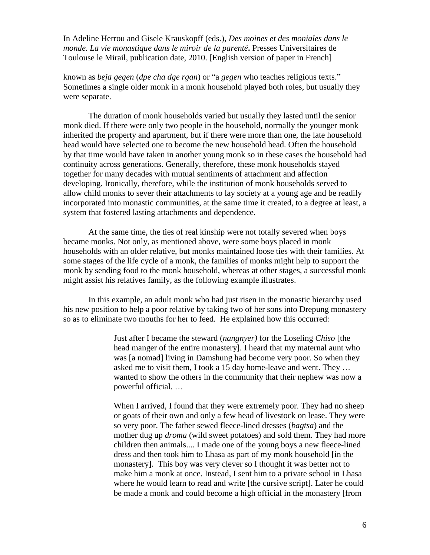known as *beja gegen* (*dpe cha dge rgan*) or "a *gegen* who teaches religious texts." Sometimes a single older monk in a monk household played both roles, but usually they were separate.

The duration of monk households varied but usually they lasted until the senior monk died. If there were only two people in the household, normally the younger monk inherited the property and apartment, but if there were more than one, the late household head would have selected one to become the new household head. Often the household by that time would have taken in another young monk so in these cases the household had continuity across generations. Generally, therefore, these monk households stayed together for many decades with mutual sentiments of attachment and affection developing. Ironically, therefore, while the institution of monk households served to allow child monks to sever their attachments to lay society at a young age and be readily incorporated into monastic communities, at the same time it created, to a degree at least, a system that fostered lasting attachments and dependence.

At the same time, the ties of real kinship were not totally severed when boys became monks. Not only, as mentioned above, were some boys placed in monk households with an older relative, but monks maintained loose ties with their families. At some stages of the life cycle of a monk, the families of monks might help to support the monk by sending food to the monk household, whereas at other stages, a successful monk might assist his relatives family, as the following example illustrates.

In this example, an adult monk who had just risen in the monastic hierarchy used his new position to help a poor relative by taking two of her sons into Drepung monastery so as to eliminate two mouths for her to feed. He explained how this occurred:

> Just after I became the steward (*nangnyer)* for the Loseling *Chiso* [the head manger of the entire monastery]. I heard that my maternal aunt who was [a nomad] living in Damshung had become very poor. So when they asked me to visit them, I took a 15 day home-leave and went. They … wanted to show the others in the community that their nephew was now a powerful official. …

When I arrived, I found that they were extremely poor. They had no sheep or goats of their own and only a few head of livestock on lease. They were so very poor. The father sewed fleece-lined dresses (*bagtsa*) and the mother dug up *droma* (wild sweet potatoes) and sold them. They had more children then animals.... I made one of the young boys a new fleece-lined dress and then took him to Lhasa as part of my monk household [in the monastery]. This boy was very clever so I thought it was better not to make him a monk at once. Instead, I sent him to a private school in Lhasa where he would learn to read and write [the cursive script]. Later he could be made a monk and could become a high official in the monastery [from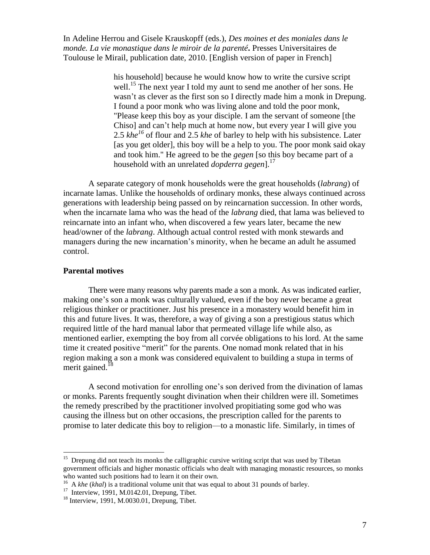> his household] because he would know how to write the cursive script well.<sup>15</sup> The next year I told my aunt to send me another of her sons. He wasn't as clever as the first son so I directly made him a monk in Drepung. I found a poor monk who was living alone and told the poor monk, "Please keep this boy as your disciple. I am the servant of someone [the Chiso] and can't help much at home now, but every year I will give you 2.5 *khe <sup>16</sup>* of flour and 2.5 *khe* of barley to help with his subsistence. Later [as you get older], this boy will be a help to you. The poor monk said okay and took him." He agreed to be the *gegen* [so this boy became part of a household with an unrelated *dopderra gegen*]. 17

A separate category of monk households were the great households (*labrang*) of incarnate lamas. Unlike the households of ordinary monks, these always continued across generations with leadership being passed on by reincarnation succession. In other words, when the incarnate lama who was the head of the *labrang* died, that lama was believed to reincarnate into an infant who, when discovered a few years later, became the new head/owner of the *labrang*. Although actual control rested with monk stewards and managers during the new incarnation's minority, when he became an adult he assumed control.

### **Parental motives**

There were many reasons why parents made a son a monk. As was indicated earlier, making one's son a monk was culturally valued, even if the boy never became a great religious thinker or practitioner. Just his presence in a monastery would benefit him in this and future lives. It was, therefore, a way of giving a son a prestigious status which required little of the hard manual labor that permeated village life while also, as mentioned earlier, exempting the boy from all corvée obligations to his lord. At the same time it created positive "merit" for the parents. One nomad monk related that in his region making a son a monk was considered equivalent to building a stupa in terms of merit gained.<sup>18</sup>

A second motivation for enrolling one's son derived from the divination of lamas or monks. Parents frequently sought divination when their children were ill. Sometimes the remedy prescribed by the practitioner involved propitiating some god who was causing the illness but on other occasions, the prescription called for the parents to promise to later dedicate this boy to religion—to a monastic life. Similarly, in times of

<sup>&</sup>lt;sup>15</sup> Drepung did not teach its monks the calligraphic cursive writing script that was used by Tibetan government officials and higher monastic officials who dealt with managing monastic resources, so monks who wanted such positions had to learn it on their own.

<sup>&</sup>lt;sup>16</sup> A *khe* (*khal*) is a traditional volume unit that was equal to about 31 pounds of barley.

 $17$  Interview, 1991, M.0142.01, Drepung, Tibet.

<sup>18</sup> Interview, 1991, M.0030.01, Drepung, Tibet.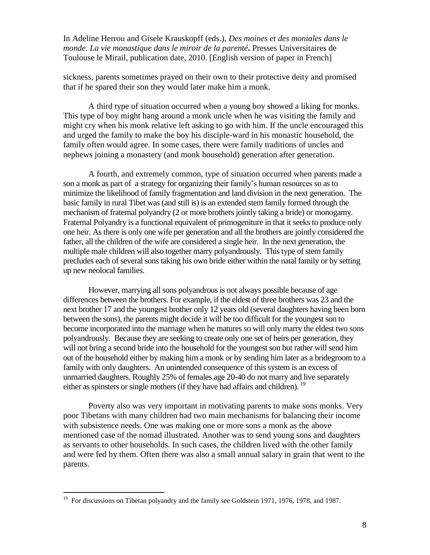sickness, parents sometimes prayed on their own to their protective deity and promised that if he spared their son they would later make him a monk.

A third type of situation occurred when a young boy showed a liking for monks. This type of boy might hang around a monk uncle when he was visiting the family and might cry when his monk relative left asking to go with him. If the uncle encouraged this and urged the family to make the boy his disciple-ward in his monastic household, the family often would agree. In some cases, there were family traditions of uncles and nephews joining a monastery (and monk household) generation after generation.

A fourth, and extremely common, type of situation occurred when parents made a son a monk as part of a strategy for organizing their family's human resources so as to minimize the likelihood of family fragmentation and land division in the next generation. The basic family in rural Tibet was (and still is) is an extended stem family formed through the mechanism of fraternal polyandry (2 or more brothers jointly taking a bride) or monogamy. Fraternal Polyandry is a functional equivalent of primogeniture in that it seeks to produce only one heir. As there is only one wife per generation and all the brothers are jointly considered the father, all the children of the wife are considered a single heir. In the next generation, the multiple male children will also together marry polyandrously. This type of stem family precludes each of several sons taking his own bride either within the natal family or by setting up new neolocal families.

However, marrying all sons polyandrous is not always possible because of age differences between the brothers. For example, if the eldest of three brothers was 23 and the next brother 17 and the youngest brother only 12 years old (several daughters having been born between the sons), the parents might decide it will be too difficult for the youngest son to become incorporated into the marriage when he matures so will only marry the eldest two sons polyandrously. Because they are seeking to create only one set of heirs per generation, they will not bring a second bride into the household for the youngest son but rather will send him out of the household either by making him a monk or by sending him later as a bridegroom to a family with only daughters. An unintended consequence of this system is an excess of unmarried daughters. Roughly 25% of females age 20-40 do not marry and live separately either as spinsters or single mothers (if they have had affairs and children). <sup>19</sup>

Poverty also was very important in motivating parents to make sons monks. Very poor Tibetans with many children had two main mechanisms for balancing their income with subsistence needs. One was making one or more sons a monk as the above mentioned case of the nomad illustrated. Another was to send young sons and daughters as servants to other households. In such cases, the children lived with the other family and were fed by them. Often there was also a small annual salary in grain that went to the parents.

<sup>&</sup>lt;sup>19</sup> For discussions on Tibetan polyandry and the family see Goldstein 1971, 1976, 1978, and 1987.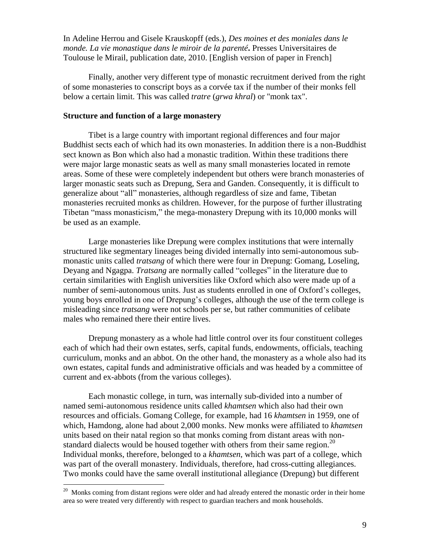Finally, another very different type of monastic recruitment derived from the right of some monasteries to conscript boys as a corvée tax if the number of their monks fell below a certain limit. This was called *tratre* (*grwa khral*) or "monk tax".

## **Structure and function of a large monastery**

Tibet is a large country with important regional differences and four major Buddhist sects each of which had its own monasteries. In addition there is a non-Buddhist sect known as Bon which also had a monastic tradition. Within these traditions there were major large monastic seats as well as many small monasteries located in remote areas. Some of these were completely independent but others were branch monasteries of larger monastic seats such as Drepung, Sera and Ganden. Consequently, it is difficult to generalize about "all" monasteries, although regardless of size and fame, Tibetan monasteries recruited monks as children. However, for the purpose of further illustrating Tibetan "mass monasticism," the mega-monastery Drepung with its 10,000 monks will be used as an example.

Large monasteries like Drepung were complex institutions that were internally structured like segmentary lineages being divided internally into semi-autonomous submonastic units called *tratsang* of which there were four in Drepung: Gomang, Loseling, Deyang and Ngagpa. *Tratsang* are normally called "colleges" in the literature due to certain similarities with English universities like Oxford which also were made up of a number of semi-autonomous units. Just as students enrolled in one of Oxford's colleges, young boys enrolled in one of Drepung's colleges, although the use of the term college is misleading since *tratsang* were not schools per se, but rather communities of celibate males who remained there their entire lives.

Drepung monastery as a whole had little control over its four constituent colleges each of which had their own estates, serfs, capital funds, endowments, officials, teaching curriculum, monks and an abbot. On the other hand, the monastery as a whole also had its own estates, capital funds and administrative officials and was headed by a committee of current and ex-abbots (from the various colleges).

Each monastic college, in turn, was internally sub-divided into a number of named semi-autonomous residence units called *khamtsen* which also had their own resources and officials. Gomang College, for example, had 16 *khamtsen* in 1959, one of which, Hamdong, alone had about 2,000 monks. New monks were affiliated to *khamtsen* units based on their natal region so that monks coming from distant areas with nonstandard dialects would be housed together with others from their same region.<sup>20</sup> Individual monks, therefore, belonged to a *khamtsen*, which was part of a college, which was part of the overall monastery. Individuals, therefore, had cross-cutting allegiances. Two monks could have the same overall institutional allegiance (Drepung) but different

<sup>&</sup>lt;sup>20</sup> Monks coming from distant regions were older and had already entered the monastic order in their home area so were treated very differently with respect to guardian teachers and monk households.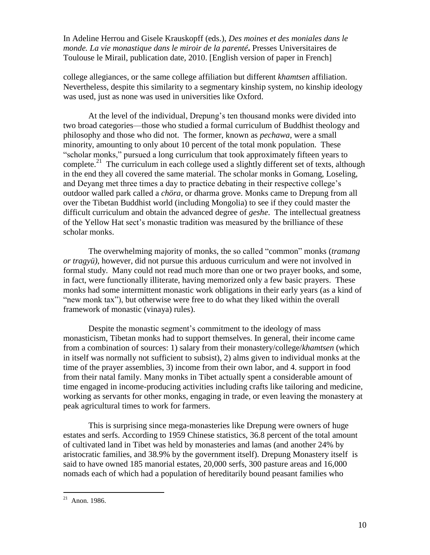college allegiances, or the same college affiliation but different *khamtsen* affiliation. Nevertheless, despite this similarity to a segmentary kinship system, no kinship ideology was used, just as none was used in universities like Oxford.

At the level of the individual, Drepung's ten thousand monks were divided into two broad categories—those who studied a formal curriculum of Buddhist theology and philosophy and those who did not. The former, known as *pechawa,* were a small minority, amounting to only about 10 percent of the total monk population. These "scholar monks," pursued a long curriculum that took approximately fifteen years to complete.<sup>21</sup> The curriculum in each college used a slightly different set of texts, although in the end they all covered the same material. The scholar monks in Gomang, Loseling, and Deyang met three times a day to practice debating in their respective college's outdoor walled park called a *chöra*, or dharma grove. Monks came to Drepung from all over the Tibetan Buddhist world (including Mongolia) to see if they could master the difficult curriculum and obtain the advanced degree of *geshe*. The intellectual greatness of the Yellow Hat sect's monastic tradition was measured by the brilliance of these scholar monks.

The overwhelming majority of monks, the so called "common" monks (*tramang or tragyü)*, however, did not pursue this arduous curriculum and were not involved in formal study. Many could not read much more than one or two prayer books, and some, in fact, were functionally illiterate, having memorized only a few basic prayers. These monks had some intermittent monastic work obligations in their early years (as a kind of "new monk tax"), but otherwise were free to do what they liked within the overall framework of monastic (vinaya) rules).

Despite the monastic segment's commitment to the ideology of mass monasticism, Tibetan monks had to support themselves. In general, their income came from a combination of sources: 1) salary from their monastery/college/*khamtsen* (which in itself was normally not sufficient to subsist), 2) alms given to individual monks at the time of the prayer assemblies, 3) income from their own labor, and 4. support in food from their natal family. Many monks in Tibet actually spent a considerable amount of time engaged in income-producing activities including crafts like tailoring and medicine, working as servants for other monks, engaging in trade, or even leaving the monastery at peak agricultural times to work for farmers.

This is surprising since mega-monasteries like Drepung were owners of huge estates and serfs. According to 1959 Chinese statistics, 36.8 percent of the total amount of cultivated land in Tibet was held by monasteries and lamas (and another 24% by aristocratic families, and 38.9% by the government itself). Drepung Monastery itself is said to have owned 185 manorial estates, 20,000 serfs, 300 pasture areas and 16,000 nomads each of which had a population of hereditarily bound peasant families who

 $21$  Anon. 1986.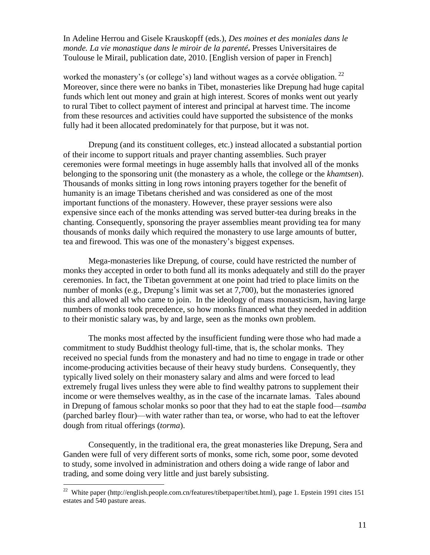worked the monastery's (or college's) land without wages as a corvée obligation.  $^{22}$ Moreover, since there were no banks in Tibet, monasteries like Drepung had huge capital funds which lent out money and grain at high interest. Scores of monks went out yearly to rural Tibet to collect payment of interest and principal at harvest time. The income from these resources and activities could have supported the subsistence of the monks fully had it been allocated predominately for that purpose, but it was not.

Drepung (and its constituent colleges, etc.) instead allocated a substantial portion of their income to support rituals and prayer chanting assemblies. Such prayer ceremonies were formal meetings in huge assembly halls that involved all of the monks belonging to the sponsoring unit (the monastery as a whole, the college or the *khamtsen*). Thousands of monks sitting in long rows intoning prayers together for the benefit of humanity is an image Tibetans cherished and was considered as one of the most important functions of the monastery. However, these prayer sessions were also expensive since each of the monks attending was served butter-tea during breaks in the chanting. Consequently, sponsoring the prayer assemblies meant providing tea for many thousands of monks daily which required the monastery to use large amounts of butter, tea and firewood. This was one of the monastery's biggest expenses.

Mega-monasteries like Drepung, of course, could have restricted the number of monks they accepted in order to both fund all its monks adequately and still do the prayer ceremonies. In fact, the Tibetan government at one point had tried to place limits on the number of monks (e.g., Drepung's limit was set at 7,700), but the monasteries ignored this and allowed all who came to join. In the ideology of mass monasticism, having large numbers of monks took precedence, so how monks financed what they needed in addition to their monistic salary was, by and large, seen as the monks own problem.

The monks most affected by the insufficient funding were those who had made a commitment to study Buddhist theology full-time, that is, the scholar monks. They received no special funds from the monastery and had no time to engage in trade or other income-producing activities because of their heavy study burdens. Consequently, they typically lived solely on their monastery salary and alms and were forced to lead extremely frugal lives unless they were able to find wealthy patrons to supplement their income or were themselves wealthy, as in the case of the incarnate lamas. Tales abound in Drepung of famous scholar monks so poor that they had to eat the staple food—*tsamba* (parched barley flour)—with water rather than tea, or worse, who had to eat the leftover dough from ritual offerings (*torma*).

Consequently, in the traditional era, the great monasteries like Drepung, Sera and Ganden were full of very different sorts of monks, some rich, some poor, some devoted to study, some involved in administration and others doing a wide range of labor and trading, and some doing very little and just barely subsisting.

<sup>&</sup>lt;sup>22</sup> White paper (http://english.people.com.cn/features/tibetpaper/tibet.html), page 1. Epstein 1991 cites 151 estates and 540 pasture areas.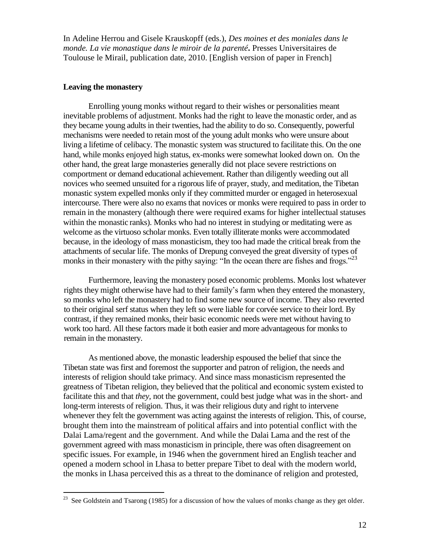## **Leaving the monastery**

Enrolling young monks without regard to their wishes or personalities meant inevitable problems of adjustment. Monks had the right to leave the monastic order, and as they became young adults in their twenties, had the ability to do so. Consequently, powerful mechanisms were needed to retain most of the young adult monks who were unsure about living a lifetime of celibacy. The monastic system was structured to facilitate this. On the one hand, while monks enjoyed high status, ex-monks were somewhat looked down on. On the other hand, the great large monasteries generally did not place severe restrictions on comportment or demand educational achievement. Rather than diligently weeding out all novices who seemed unsuited for a rigorous life of prayer, study, and meditation, the Tibetan monastic system expelled monks only if they committed murder or engaged in heterosexual intercourse. There were also no exams that novices or monks were required to pass in order to remain in the monastery (although there were required exams for higher intellectual statuses within the monastic ranks). Monks who had no interest in studying or meditating were as welcome as the virtuoso scholar monks. Even totally illiterate monks were accommodated because, in the ideology of mass monasticism, they too had made the critical break from the attachments of secular life. The monks of Drepung conveyed the great diversity of types of monks in their monastery with the pithy saying: "In the ocean there are fishes and frogs."<sup>23</sup>

Furthermore, leaving the monastery posed economic problems. Monks lost whatever rights they might otherwise have had to their family's farm when they entered the monastery, so monks who left the monastery had to find some new source of income. They also reverted to their original serf status when they left so were liable for corvée service to their lord. By contrast, if they remained monks, their basic economic needs were met without having to work too hard. All these factors made it both easier and more advantageous for monks to remain in the monastery.

As mentioned above, the monastic leadership espoused the belief that since the Tibetan state was first and foremost the supporter and patron of religion, the needs and interests of religion should take primacy. And since mass monasticism represented the greatness of Tibetan religion, they believed that the political and economic system existed to facilitate this and that *they,* not the government, could best judge what was in the short- and long-term interests of religion. Thus, it was their religious duty and right to intervene whenever they felt the government was acting against the interests of religion. This, of course, brought them into the mainstream of political affairs and into potential conflict with the Dalai Lama/regent and the government. And while the Dalai Lama and the rest of the government agreed with mass monasticism in principle, there was often disagreement on specific issues. For example, in 1946 when the government hired an English teacher and opened a modern school in Lhasa to better prepare Tibet to deal with the modern world, the monks in Lhasa perceived this as a threat to the dominance of religion and protested,

 $\frac{23}{23}$  See Goldstein and Tsarong (1985) for a discussion of how the values of monks change as they get older.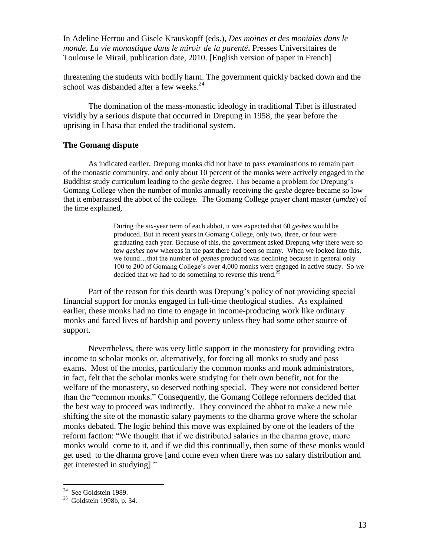threatening the students with bodily harm. The government quickly backed down and the school was disbanded after a few weeks.<sup>24</sup>

The domination of the mass-monastic ideology in traditional Tibet is illustrated vividly by a serious dispute that occurred in Drepung in 1958, the year before the uprising in Lhasa that ended the traditional system.

## **The Gomang dispute**

As indicated earlier, Drepung monks did not have to pass examinations to remain part of the monastic community, and only about 10 percent of the monks were actively engaged in the Buddhist study curriculum leading to the *geshe* degree. This became a problem for Drepung's Gomang College when the number of monks annually receiving the *geshe* degree became so low that it embarrassed the abbot of the college. The Gomang College prayer chant master (*umdze*) of the time explained,

> During the six-year term of each abbot, it was expected that 60 *geshes* would be produced. But in recent years in Gomang College, only two, three, or four were graduating each year. Because of this, the government asked Drepung why there were so few *geshes* now whereas in the past there had been so many. When we looked into this, we found…that the number of *geshes* produced was declining because in general only 100 to 200 of Gomang College's over 4,000 monks were engaged in active study. So we decided that we had to do something to reverse this trend.<sup>25</sup>

Part of the reason for this dearth was Drepung's policy of not providing special financial support for monks engaged in full-time theological studies. As explained earlier, these monks had no time to engage in income-producing work like ordinary monks and faced lives of hardship and poverty unless they had some other source of support.

Nevertheless, there was very little support in the monastery for providing extra income to scholar monks or, alternatively, for forcing all monks to study and pass exams. Most of the monks, particularly the common monks and monk administrators, in fact, felt that the scholar monks were studying for their own benefit, not for the welfare of the monastery, so deserved nothing special. They were not considered better than the "common monks." Consequently, the Gomang College reformers decided that the best way to proceed was indirectly. They convinced the abbot to make a new rule shifting the site of the monastic salary payments to the dharma grove where the scholar monks debated. The logic behind this move was explained by one of the leaders of the reform faction: "We thought that if we distributed salaries in the dharma grove, more monks would come to it, and if we did this continually, then some of these monks would get used to the dharma grove [and come even when there was no salary distribution and get interested in studying]."

<sup>&</sup>lt;sup>24</sup> See Goldstein 1989.

 $25$  Goldstein 1998b, p. 34.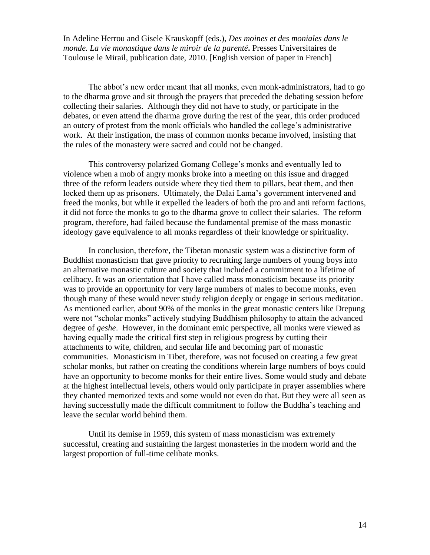The abbot's new order meant that all monks, even monk-administrators, had to go to the dharma grove and sit through the prayers that preceded the debating session before collecting their salaries. Although they did not have to study, or participate in the debates, or even attend the dharma grove during the rest of the year, this order produced an outcry of protest from the monk officials who handled the college's administrative work. At their instigation, the mass of common monks became involved, insisting that the rules of the monastery were sacred and could not be changed.

This controversy polarized Gomang College's monks and eventually led to violence when a mob of angry monks broke into a meeting on this issue and dragged three of the reform leaders outside where they tied them to pillars, beat them, and then locked them up as prisoners. Ultimately, the Dalai Lama's government intervened and freed the monks, but while it expelled the leaders of both the pro and anti reform factions, it did not force the monks to go to the dharma grove to collect their salaries. The reform program, therefore, had failed because the fundamental premise of the mass monastic ideology gave equivalence to all monks regardless of their knowledge or spirituality.

In conclusion, therefore, the Tibetan monastic system was a distinctive form of Buddhist monasticism that gave priority to recruiting large numbers of young boys into an alternative monastic culture and society that included a commitment to a lifetime of celibacy. It was an orientation that I have called mass monasticism because its priority was to provide an opportunity for very large numbers of males to become monks, even though many of these would never study religion deeply or engage in serious meditation. As mentioned earlier, about 90% of the monks in the great monastic centers like Drepung were not "scholar monks" actively studying Buddhism philosophy to attain the advanced degree of *geshe*. However, in the dominant emic perspective, all monks were viewed as having equally made the critical first step in religious progress by cutting their attachments to wife, children, and secular life and becoming part of monastic communities. Monasticism in Tibet, therefore, was not focused on creating a few great scholar monks, but rather on creating the conditions wherein large numbers of boys could have an opportunity to become monks for their entire lives. Some would study and debate at the highest intellectual levels, others would only participate in prayer assemblies where they chanted memorized texts and some would not even do that. But they were all seen as having successfully made the difficult commitment to follow the Buddha's teaching and leave the secular world behind them.

Until its demise in 1959, this system of mass monasticism was extremely successful, creating and sustaining the largest monasteries in the modern world and the largest proportion of full-time celibate monks.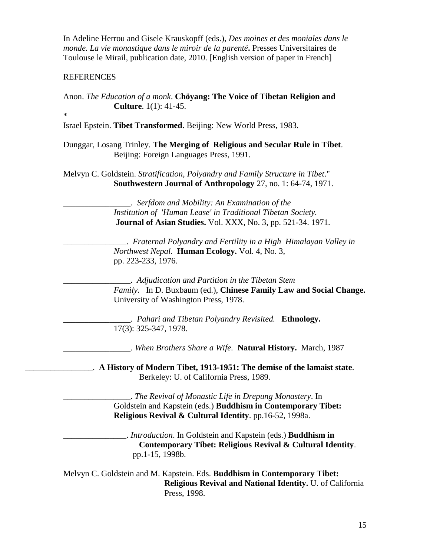# REFERENCES

Anon. *The Education of a monk*. **Chöyang: The Voice of Tibetan Religion and Culture**. 1(1): 41-45.

\*

Israel Epstein. **Tibet Transformed**. Beijing: New World Press, 1983.

Dunggar, Losang Trinley. **The Merging of Religious and Secular Rule in Tibet**. Beijing: Foreign Languages Press, 1991.

Melvyn C. Goldstein. *Stratification, Polyandry and Family Structure in Tibet*." **Southwestern Journal of Anthropology** 27, no. 1: 64-74, 1971.

> \_\_\_\_\_\_\_\_\_\_\_\_\_\_\_\_. *Serfdom and Mobility: An Examination of the Institution of 'Human Lease' in Traditional Tibetan Society.*  **Journal of Asian Studies.** Vol. XXX, No. 3, pp. 521-34. 1971.

\_\_\_\_\_\_\_\_\_\_\_\_\_\_\_. *Fraternal Polyandry and Fertility in a High Himalayan Valley in Northwest Nepal.* **Human Ecology.** Vol. 4, No. 3, pp. 223-233, 1976.

\_\_\_\_\_\_\_\_\_\_\_\_\_\_\_\_. *Adjudication and Partition in the Tibetan Stem Family.* In D. Buxbaum (ed.), **Chinese Family Law and Social Change.**  University of Washington Press, 1978.

\_\_\_\_\_\_\_\_\_\_\_\_\_\_\_\_. *Pahari and Tibetan Polyandry Revisited.* **Ethnology.**  17(3): 325-347, 1978.

\_\_\_\_\_\_\_\_\_\_\_\_\_\_\_\_. *When Brothers Share a Wife.* **Natural History.** March, 1987

\_\_\_\_\_\_\_\_\_\_\_\_\_\_\_\_. **A History of Modern Tibet, 1913-1951: The demise of the lamaist state**. Berkeley: U. of California Press, 1989.

> \_\_\_\_\_\_\_\_\_\_\_\_\_\_\_\_. *The Revival of Monastic Life in Drepung Monastery*. In Goldstein and Kapstein (eds.) **Buddhism in Contemporary Tibet: Religious Revival & Cultural Identity**. pp.16-52, 1998a.

\_\_\_\_\_\_\_\_\_\_\_\_\_\_\_. *Introduction*. In Goldstein and Kapstein (eds.) **Buddhism in Contemporary Tibet: Religious Revival & Cultural Identity**. pp.1-15, 1998b.

Melvyn C. Goldstein and M. Kapstein. Eds. **Buddhism in Contemporary Tibet: Religious Revival and National Identity.** U. of California Press, 1998.